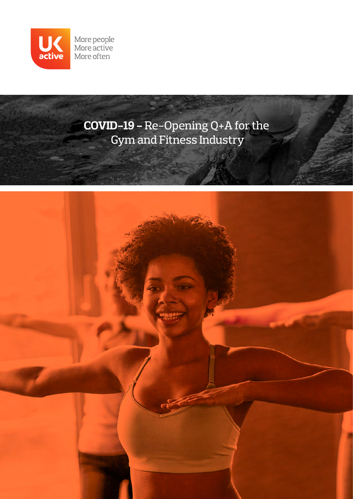

**COVID-19 -** Re-Opening Q+A for the Gym and Fitness Industry

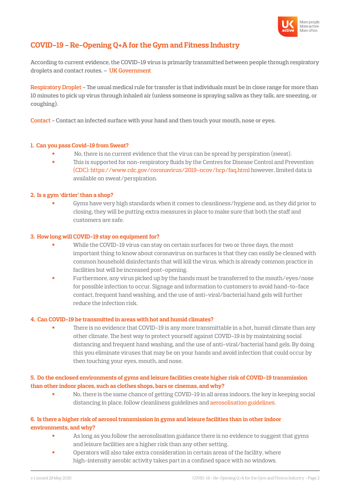

# **COVID-19 - Re-Opening Q+A for the Gym and Fitness Industry**

**According to current evidence, the COVID-19 virus is primarily transmitted between people through respiratory droplets and contact routes. – UK Government**

**Respiratory Droplet - The usual medical rule for transfer is that individuals must be in close range for more than 10 minutes to pick up virus through inhaled air (unless someone is spraying saliva as they talk, are sneezing, or coughing).** 

**Contact - Contact an infected surface with your hand and then touch your mouth, nose or eyes.**

# **1. Can you pass Covid-19 from Sweat?**

- No, there is no current evidence that the virus can be spread by perspiration (sweat).
- This is supported for non-respiratory fluids by the Centres for Disease Control and Prevention (CDC): https://www.cdc.gov/coronavirus/2019-ncov/hcp/faq.html however, limited data is available on sweat/perspiration.

# **2. Is a gym 'dirtier' than a shop?**

 • Gyms have very high standards when it comes to cleanliness/hygiene and, as they did prior to closing, they will be putting extra measures in place to make sure that both the staff and customers are safe.

### **3. How long will COVID-19 stay on equipment for?**

- While the COVID-19 virus can stay on certain surfaces for two or three days, the most important thing to know about coronavirus on surfaces is that they can easily be cleaned with common household disinfectants that will kill the virus, which is already common practice in facilities but will be increased post-opening.
- Furthermore, any virus picked up by the hands must be transferred to the mouth/eyes/nose for possible infection to occur. Signage and information to customers to avoid hand-to-face contact, frequent hand washing, and the use of anti-viral/bacterial hand gels will further reduce the infection risk.

# **4. Can COVID-19 be transmitted in areas with hot and humid climates?**

There is no evidence that COVID-19 is any more transmittable in a hot, humid climate than any other climate. The best way to protect yourself against COVID-19 is by maintaining social distancing and frequent hand washing, and the use of anti-viral/bacterial hand gels. By doing this you eliminate viruses that may be on your hands and avoid infection that could occur by then touching your eyes, mouth, and nose.

# **5. Do the enclosed environments of gyms and leisure facilities create higher risk of COVID-19 transmission than other indoor places, such as clothes shops, bars or cinemas, and why?**

 • No, there is the same chance of getting COVID-19 in all areas indoors, the key is keeping social distancing in place, follow cleanliness guidelines and aerosolisation guidelines.

# **6. Is there a higher risk of aerosol transmission in gyms and leisure facilities than in other indoor environments, and why?**

- As long as you follow the aerosolisation guidance there is no evidence to suggest that gyms and leisure facilities are a higher risk than any other setting.
- Operators will also take extra consideration in certain areas of the facility, where high-intensity aerobic activity takes part in a confined space with no windows.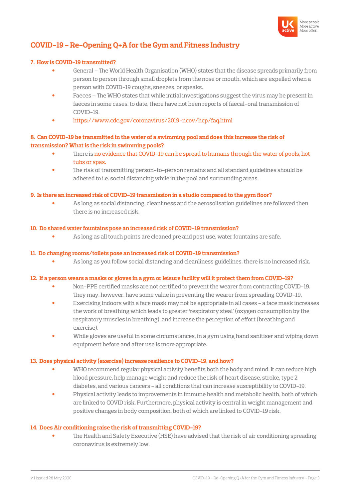

# **COVID-19 - Re-Opening Q+A for the Gym and Fitness Industry**

### **7. How is COVID-19 transmitted?**

- General The World Health Organisation (WHO) states that the disease spreads primarily from person to person through small droplets from the nose or mouth, which are expelled when a person with COVID-19 coughs, sneezes, or speaks.
- Faeces The WHO states that while initial investigations suggest the virus may be present in faeces in some cases, to date, there have not been reports of faecal-oral transmission of COVID-19.
- https://www.cdc.gov/coronavirus/2019-ncov/hcp/faq.html

# **8. Can COVID-19 be transmitted in the water of a swimming pool and does this increase the risk of transmission? What is the risk in swimming pools?**

- There is no evidence that COVID-19 can be spread to humans through the water of pools, hot tubs or spas.
- The risk of transmitting person-to-person remains and all standard guidelines should be adhered to i.e. social distancing while in the pool and surrounding areas.

#### **9. Is there an increased risk of COVID-19 transmission in a studio compared to the gym floor?**

 • As long as social distancing, cleanliness and the aerosolisation guidelines are followed then there is no increased risk.

#### **10. Do shared water fountains pose an increased risk of COVID-19 transmission?**

• As long as all touch points are cleaned pre and post use, water fountains are safe.

#### **11. Do changing rooms/toilets pose an increased risk of COVID-19 transmission?**

• As long as you follow social distancing and cleanliness guidelines, there is no increased risk.

# **12. If a person wears a masks or gloves in a gym or leisure facility will it protect them from COVID-19?**

- Non-PPE certified masks are not certified to prevent the wearer from contracting COVID-19. They may, however, have some value in preventing the wearer from spreading COVID-19.
- Exercising indoors with a face mask may not be appropriate in all cases a face mask increases the work of breathing which leads to greater 'respiratory steal' (oxygen consumption by the respiratory muscles in breathing), and increase the perception of effort (breathing and exercise).
- While gloves are useful in some circumstances, in a gym using hand sanitiser and wiping down equipment before and after use is more appropriate.

#### **13. Does physical activity (exercise) increase resilience to COVID-19, and how?**

- WHO recommend regular physical activity benefits both the body and mind. It can reduce high blood pressure, help manage weight and reduce the risk of heart disease, stroke, type 2 diabetes, and various cancers - all conditions that can increase susceptibility to COVID-19.
- Physical activity leads to improvements in immune health and metabolic health, both of which are linked to COVID risk. Furthermore, physical activity is central in weight management and positive changes in body composition, both of which are linked to COVID-19 risk.

#### **14. Does Air conditioning raise the risk of transmitting COVID-19?**

The Health and Safety Executive (HSE) have advised that the risk of air conditioning spreading coronavirus is extremely low.